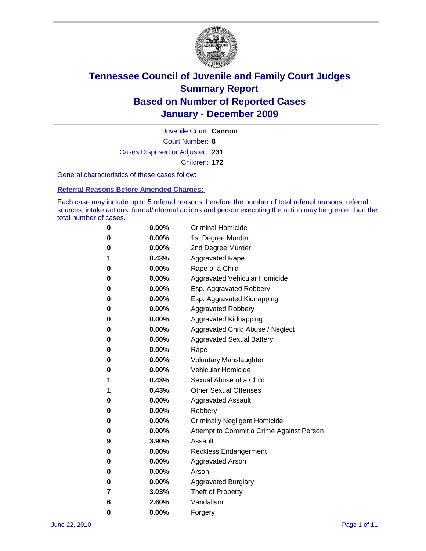

Court Number: **8** Juvenile Court: **Cannon** Cases Disposed or Adjusted: **231** Children: **172**

General characteristics of these cases follow:

**Referral Reasons Before Amended Charges:** 

Each case may include up to 5 referral reasons therefore the number of total referral reasons, referral sources, intake actions, formal/informal actions and person executing the action may be greater than the total number of cases.

| 0 | $0.00\%$ | <b>Criminal Homicide</b>                 |
|---|----------|------------------------------------------|
| 0 | $0.00\%$ | 1st Degree Murder                        |
| 0 | $0.00\%$ | 2nd Degree Murder                        |
| 1 | 0.43%    | <b>Aggravated Rape</b>                   |
| 0 | $0.00\%$ | Rape of a Child                          |
| 0 | $0.00\%$ | Aggravated Vehicular Homicide            |
| 0 | $0.00\%$ | Esp. Aggravated Robbery                  |
| 0 | $0.00\%$ | Esp. Aggravated Kidnapping               |
| 0 | $0.00\%$ | <b>Aggravated Robbery</b>                |
| 0 | $0.00\%$ | Aggravated Kidnapping                    |
| 0 | $0.00\%$ | Aggravated Child Abuse / Neglect         |
| 0 | $0.00\%$ | <b>Aggravated Sexual Battery</b>         |
| 0 | 0.00%    | Rape                                     |
| 0 | $0.00\%$ | <b>Voluntary Manslaughter</b>            |
| 0 | $0.00\%$ | Vehicular Homicide                       |
| 1 | 0.43%    | Sexual Abuse of a Child                  |
| 1 | 0.43%    | <b>Other Sexual Offenses</b>             |
| 0 | $0.00\%$ | <b>Aggravated Assault</b>                |
| 0 | $0.00\%$ | Robbery                                  |
| 0 | $0.00\%$ | <b>Criminally Negligent Homicide</b>     |
| 0 | $0.00\%$ | Attempt to Commit a Crime Against Person |
| 9 | 3.90%    | Assault                                  |
| 0 | $0.00\%$ | <b>Reckless Endangerment</b>             |
| 0 | 0.00%    | <b>Aggravated Arson</b>                  |
| 0 | $0.00\%$ | Arson                                    |
| 0 | $0.00\%$ | <b>Aggravated Burglary</b>               |
| 7 | 3.03%    | Theft of Property                        |
| 6 | 2.60%    | Vandalism                                |
| 0 | 0.00%    | Forgery                                  |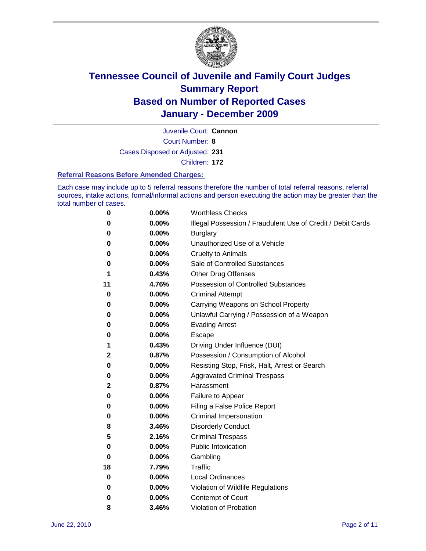

Juvenile Court: **Cannon**

Court Number: **8**

Cases Disposed or Adjusted: **231**

Children: **172**

#### **Referral Reasons Before Amended Charges:**

Each case may include up to 5 referral reasons therefore the number of total referral reasons, referral sources, intake actions, formal/informal actions and person executing the action may be greater than the total number of cases.

| 0            | 0.00% | <b>Worthless Checks</b>                                     |  |  |  |
|--------------|-------|-------------------------------------------------------------|--|--|--|
| 0            | 0.00% | Illegal Possession / Fraudulent Use of Credit / Debit Cards |  |  |  |
| 0            | 0.00% | <b>Burglary</b>                                             |  |  |  |
| 0            | 0.00% | Unauthorized Use of a Vehicle                               |  |  |  |
| 0            | 0.00% | <b>Cruelty to Animals</b>                                   |  |  |  |
| 0            | 0.00% | Sale of Controlled Substances                               |  |  |  |
| 1            | 0.43% | <b>Other Drug Offenses</b>                                  |  |  |  |
| 11           | 4.76% | <b>Possession of Controlled Substances</b>                  |  |  |  |
| 0            | 0.00% | <b>Criminal Attempt</b>                                     |  |  |  |
| 0            | 0.00% | Carrying Weapons on School Property                         |  |  |  |
| 0            | 0.00% | Unlawful Carrying / Possession of a Weapon                  |  |  |  |
| 0            | 0.00% | <b>Evading Arrest</b>                                       |  |  |  |
| 0            | 0.00% | Escape                                                      |  |  |  |
| 1            | 0.43% | Driving Under Influence (DUI)                               |  |  |  |
| $\mathbf{2}$ | 0.87% | Possession / Consumption of Alcohol                         |  |  |  |
| 0            | 0.00% | Resisting Stop, Frisk, Halt, Arrest or Search               |  |  |  |
| 0            | 0.00% | <b>Aggravated Criminal Trespass</b>                         |  |  |  |
| 2            | 0.87% | Harassment                                                  |  |  |  |
| 0            | 0.00% | Failure to Appear                                           |  |  |  |
| 0            | 0.00% | Filing a False Police Report                                |  |  |  |
| 0            | 0.00% | Criminal Impersonation                                      |  |  |  |
| 8            | 3.46% | <b>Disorderly Conduct</b>                                   |  |  |  |
| 5            | 2.16% | <b>Criminal Trespass</b>                                    |  |  |  |
| 0            | 0.00% | <b>Public Intoxication</b>                                  |  |  |  |
| 0            | 0.00% | Gambling                                                    |  |  |  |
| 18           | 7.79% | Traffic                                                     |  |  |  |
| 0            | 0.00% | <b>Local Ordinances</b>                                     |  |  |  |
| 0            | 0.00% | Violation of Wildlife Regulations                           |  |  |  |
| 0            | 0.00% | Contempt of Court                                           |  |  |  |
| 8            | 3.46% | Violation of Probation                                      |  |  |  |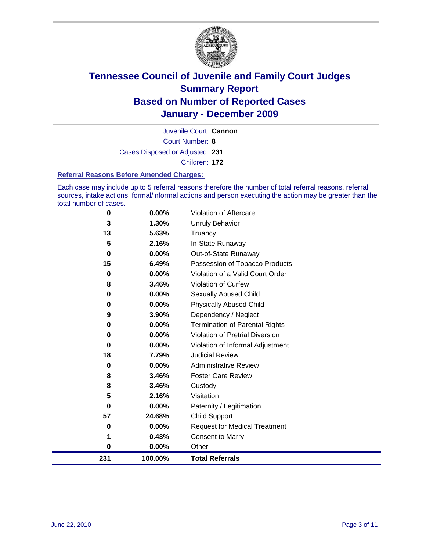

Court Number: **8** Juvenile Court: **Cannon**

Cases Disposed or Adjusted: **231**

Children: **172**

#### **Referral Reasons Before Amended Charges:**

Each case may include up to 5 referral reasons therefore the number of total referral reasons, referral sources, intake actions, formal/informal actions and person executing the action may be greater than the total number of cases.

| 0        | 0.00%    | Violation of Aftercare                 |
|----------|----------|----------------------------------------|
| 3        | 1.30%    | Unruly Behavior                        |
| 13       | 5.63%    | Truancy                                |
| 5        | 2.16%    | In-State Runaway                       |
| $\bf{0}$ | 0.00%    | Out-of-State Runaway                   |
| 15       | 6.49%    | Possession of Tobacco Products         |
| 0        | 0.00%    | Violation of a Valid Court Order       |
| 8        | 3.46%    | Violation of Curfew                    |
| 0        | $0.00\%$ | Sexually Abused Child                  |
| 0        | 0.00%    | <b>Physically Abused Child</b>         |
| 9        | 3.90%    | Dependency / Neglect                   |
| 0        | 0.00%    | <b>Termination of Parental Rights</b>  |
| 0        | 0.00%    | <b>Violation of Pretrial Diversion</b> |
| 0        | 0.00%    | Violation of Informal Adjustment       |
| 18       | 7.79%    | <b>Judicial Review</b>                 |
| 0        | 0.00%    | <b>Administrative Review</b>           |
| 8        | 3.46%    | <b>Foster Care Review</b>              |
| 8        | 3.46%    | Custody                                |
| 5        | 2.16%    | Visitation                             |
| 0        | 0.00%    | Paternity / Legitimation               |
| 57       | 24.68%   | <b>Child Support</b>                   |
| 0        | 0.00%    | <b>Request for Medical Treatment</b>   |
|          | 0.43%    | <b>Consent to Marry</b>                |
| 0        | 0.00%    | Other                                  |
| 231      | 100.00%  | <b>Total Referrals</b>                 |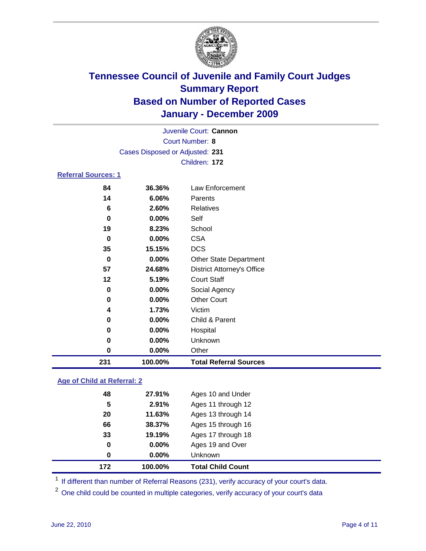

|                                 |          | Juvenile Court: Cannon            |  |  |
|---------------------------------|----------|-----------------------------------|--|--|
| <b>Court Number: 8</b>          |          |                                   |  |  |
| Cases Disposed or Adjusted: 231 |          |                                   |  |  |
|                                 |          | Children: 172                     |  |  |
| <b>Referral Sources: 1</b>      |          |                                   |  |  |
| 84                              | 36.36%   | Law Enforcement                   |  |  |
| 14                              | 6.06%    | Parents                           |  |  |
| 6                               | 2.60%    | Relatives                         |  |  |
| 0                               | $0.00\%$ | Self                              |  |  |
| 19                              | 8.23%    | School                            |  |  |
| 0                               | 0.00%    | <b>CSA</b>                        |  |  |
| 35                              | 15.15%   | <b>DCS</b>                        |  |  |
| 0                               | 0.00%    | <b>Other State Department</b>     |  |  |
| 57                              | 24.68%   | <b>District Attorney's Office</b> |  |  |
| 12                              | 5.19%    | <b>Court Staff</b>                |  |  |
| $\bf{0}$                        | 0.00%    | Social Agency                     |  |  |
| 0                               | 0.00%    | <b>Other Court</b>                |  |  |
| 4                               | 1.73%    | Victim                            |  |  |
| 0                               | 0.00%    | Child & Parent                    |  |  |
| 0                               | 0.00%    | Hospital                          |  |  |
| 0                               | $0.00\%$ | Unknown                           |  |  |
| 0                               | 0.00%    | Other                             |  |  |

### **Age of Child at Referral: 2**

| 172 | 100.00%  | <b>Total Child Count</b> |
|-----|----------|--------------------------|
| 0   | 0.00%    | <b>Unknown</b>           |
| 0   | $0.00\%$ | Ages 19 and Over         |
| 33  | 19.19%   | Ages 17 through 18       |
| 66  | 38.37%   | Ages 15 through 16       |
| 20  | 11.63%   | Ages 13 through 14       |
| 5   | 2.91%    | Ages 11 through 12       |
| 48  | 27.91%   | Ages 10 and Under        |
|     |          |                          |

<sup>1</sup> If different than number of Referral Reasons (231), verify accuracy of your court's data.

**100.00% Total Referral Sources**

<sup>2</sup> One child could be counted in multiple categories, verify accuracy of your court's data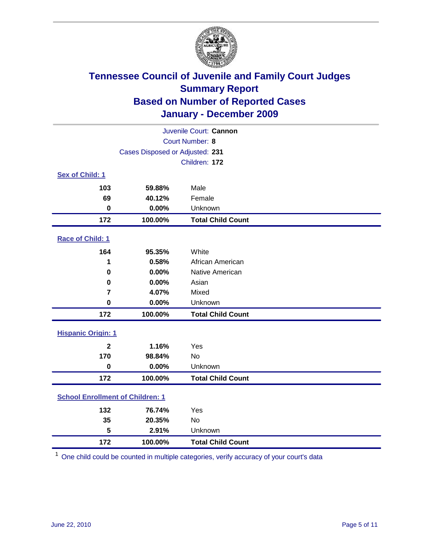

| Juvenile Court: Cannon                  |                                 |                          |  |  |
|-----------------------------------------|---------------------------------|--------------------------|--|--|
| <b>Court Number: 8</b>                  |                                 |                          |  |  |
|                                         | Cases Disposed or Adjusted: 231 |                          |  |  |
|                                         |                                 | Children: 172            |  |  |
| Sex of Child: 1                         |                                 |                          |  |  |
| 103                                     | 59.88%                          | Male                     |  |  |
| 69                                      | 40.12%                          | Female                   |  |  |
| $\mathbf 0$                             | 0.00%                           | Unknown                  |  |  |
| 172                                     | 100.00%                         | <b>Total Child Count</b> |  |  |
| Race of Child: 1                        |                                 |                          |  |  |
| 164                                     | 95.35%                          | White                    |  |  |
| 1                                       | 0.58%                           | African American         |  |  |
| $\mathbf 0$                             | 0.00%                           | Native American          |  |  |
| $\mathbf 0$                             | 0.00%                           | Asian                    |  |  |
| $\overline{\mathbf{r}}$                 | 4.07%                           | Mixed                    |  |  |
| $\mathbf 0$                             | 0.00%                           | Unknown                  |  |  |
| 172                                     | 100.00%                         | <b>Total Child Count</b> |  |  |
| <b>Hispanic Origin: 1</b>               |                                 |                          |  |  |
| $\mathbf{2}$                            | 1.16%                           | Yes                      |  |  |
| 170                                     | 98.84%                          | No                       |  |  |
| $\mathbf 0$                             | 0.00%                           | Unknown                  |  |  |
| 172                                     | 100.00%                         | <b>Total Child Count</b> |  |  |
| <b>School Enrollment of Children: 1</b> |                                 |                          |  |  |
| 132                                     | 76.74%                          | Yes                      |  |  |
| 35                                      | 20.35%                          | No                       |  |  |
| 5                                       | 2.91%                           | Unknown                  |  |  |
| 172                                     | 100.00%                         | <b>Total Child Count</b> |  |  |

One child could be counted in multiple categories, verify accuracy of your court's data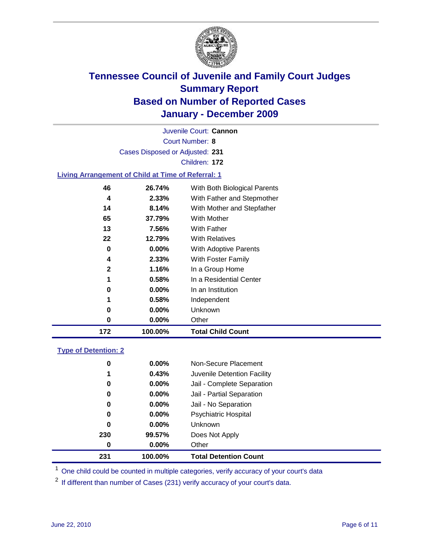

Court Number: **8** Juvenile Court: **Cannon** Cases Disposed or Adjusted: **231** Children: **172 Living Arrangement of Child at Time of Referral: 1**

| 172 | 100.00%  | <b>Total Child Count</b>     |
|-----|----------|------------------------------|
| 0   | 0.00%    | Other                        |
| 0   | $0.00\%$ | <b>Unknown</b>               |
| 1   | 0.58%    | Independent                  |
| 0   | $0.00\%$ | In an Institution            |
| 1   | 0.58%    | In a Residential Center      |
| 2   | 1.16%    | In a Group Home              |
| 4   | 2.33%    | With Foster Family           |
| 0   | 0.00%    | With Adoptive Parents        |
| 22  | 12.79%   | <b>With Relatives</b>        |
| 13  | 7.56%    | <b>With Father</b>           |
| 65  | 37.79%   | With Mother                  |
| 14  | 8.14%    | With Mother and Stepfather   |
| 4   | 2.33%    | With Father and Stepmother   |
| 46  | 26.74%   | With Both Biological Parents |
|     |          |                              |

### **Type of Detention: 2**

| 231      | 100.00%  | <b>Total Detention Count</b> |  |
|----------|----------|------------------------------|--|
| 0        | $0.00\%$ | Other                        |  |
| 230      | 99.57%   | Does Not Apply               |  |
| 0        | $0.00\%$ | <b>Unknown</b>               |  |
| 0        | 0.00%    | <b>Psychiatric Hospital</b>  |  |
| $\bf{0}$ | 0.00%    | Jail - No Separation         |  |
| 0        | $0.00\%$ | Jail - Partial Separation    |  |
| 0        | $0.00\%$ | Jail - Complete Separation   |  |
| 1        | 0.43%    | Juvenile Detention Facility  |  |
| 0        | $0.00\%$ | Non-Secure Placement         |  |
|          |          |                              |  |

<sup>1</sup> One child could be counted in multiple categories, verify accuracy of your court's data

<sup>2</sup> If different than number of Cases (231) verify accuracy of your court's data.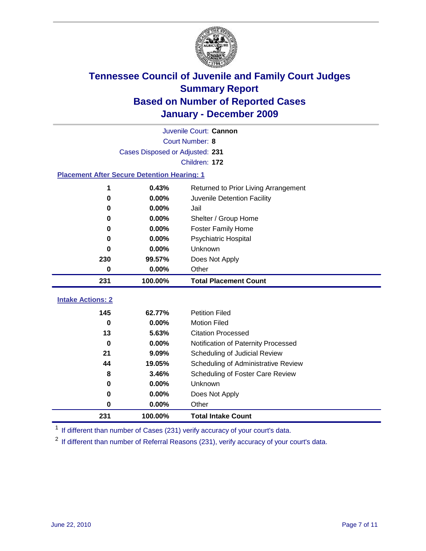

| Juvenile Court: Cannon                             |                                 |                                      |  |  |  |
|----------------------------------------------------|---------------------------------|--------------------------------------|--|--|--|
|                                                    | Court Number: 8                 |                                      |  |  |  |
|                                                    | Cases Disposed or Adjusted: 231 |                                      |  |  |  |
|                                                    |                                 | Children: 172                        |  |  |  |
| <b>Placement After Secure Detention Hearing: 1</b> |                                 |                                      |  |  |  |
| 1                                                  | 0.43%                           | Returned to Prior Living Arrangement |  |  |  |
| 0                                                  | 0.00%                           | Juvenile Detention Facility          |  |  |  |
| 0                                                  | 0.00%                           | Jail                                 |  |  |  |
| 0                                                  | 0.00%                           | Shelter / Group Home                 |  |  |  |
| 0                                                  | 0.00%                           | <b>Foster Family Home</b>            |  |  |  |
| 0                                                  | 0.00%                           | Psychiatric Hospital                 |  |  |  |
| 0                                                  | 0.00%                           | Unknown                              |  |  |  |
| 230                                                | 99.57%                          | Does Not Apply                       |  |  |  |
| 0                                                  | 0.00%                           | Other                                |  |  |  |
| 231                                                | 100.00%                         | <b>Total Placement Count</b>         |  |  |  |
|                                                    |                                 |                                      |  |  |  |
| <b>Intake Actions: 2</b>                           |                                 |                                      |  |  |  |
| 145                                                | 62.77%                          | <b>Petition Filed</b>                |  |  |  |
| 0                                                  | $0.00\%$                        | <b>Motion Filed</b>                  |  |  |  |
| 13                                                 | 5.63%                           | <b>Citation Processed</b>            |  |  |  |
| $\bf{0}$                                           | 0.00%                           | Notification of Paternity Processed  |  |  |  |
| 21                                                 | 9.09%                           | Scheduling of Judicial Review        |  |  |  |
| 44                                                 | 19.05%                          | Scheduling of Administrative Review  |  |  |  |
| 8                                                  | 3.46%                           | Scheduling of Foster Care Review     |  |  |  |
| 0                                                  | 0.00%                           | Unknown                              |  |  |  |
| 0                                                  | 0.00%                           | Does Not Apply                       |  |  |  |
| 0                                                  | 0.00%                           | Other                                |  |  |  |

<sup>1</sup> If different than number of Cases (231) verify accuracy of your court's data.

<sup>2</sup> If different than number of Referral Reasons (231), verify accuracy of your court's data.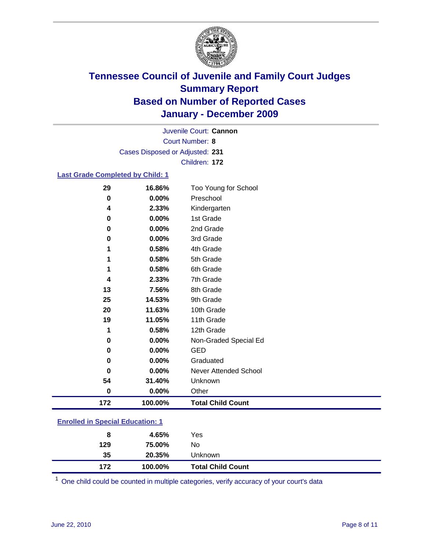

Court Number: **8** Juvenile Court: **Cannon** Cases Disposed or Adjusted: **231** Children: **172**

#### **Last Grade Completed by Child: 1**

| 29                                      | 16.86%  | Too Young for School         |  |
|-----------------------------------------|---------|------------------------------|--|
| $\pmb{0}$                               | 0.00%   | Preschool                    |  |
| 4                                       | 2.33%   | Kindergarten                 |  |
| 0                                       | 0.00%   | 1st Grade                    |  |
| 0                                       | 0.00%   | 2nd Grade                    |  |
| 0                                       | 0.00%   | 3rd Grade                    |  |
| 1                                       | 0.58%   | 4th Grade                    |  |
| 1                                       | 0.58%   | 5th Grade                    |  |
| 1                                       | 0.58%   | 6th Grade                    |  |
| 4                                       | 2.33%   | 7th Grade                    |  |
| 13                                      | 7.56%   | 8th Grade                    |  |
| 25                                      | 14.53%  | 9th Grade                    |  |
| 20                                      | 11.63%  | 10th Grade                   |  |
| 19                                      | 11.05%  | 11th Grade                   |  |
| 1                                       | 0.58%   | 12th Grade                   |  |
| 0                                       | 0.00%   | Non-Graded Special Ed        |  |
| 0                                       | 0.00%   | <b>GED</b>                   |  |
| 0                                       | 0.00%   | Graduated                    |  |
| 0                                       | 0.00%   | <b>Never Attended School</b> |  |
| 54                                      | 31.40%  | Unknown                      |  |
| 0                                       | 0.00%   | Other                        |  |
| 172                                     | 100.00% | <b>Total Child Count</b>     |  |
| <b>Enrolled in Special Education: 1</b> |         |                              |  |

| 172                                      | 100.00% | <b>Total Child Count</b> |  |  |
|------------------------------------------|---------|--------------------------|--|--|
| 35                                       | 20.35%  | Unknown                  |  |  |
| 129                                      | 75.00%  | No                       |  |  |
| 8                                        | 4.65%   | Yes                      |  |  |
| <u>Einvilled in Opcolar Eugenement T</u> |         |                          |  |  |

One child could be counted in multiple categories, verify accuracy of your court's data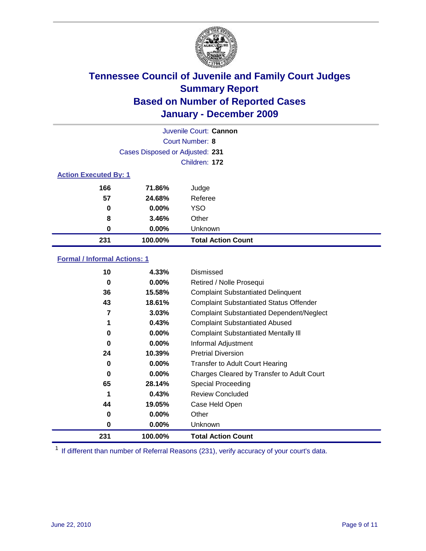

| Juvenile Court: Cannon |                                 |                           |  |  |  |
|------------------------|---------------------------------|---------------------------|--|--|--|
|                        | Court Number: 8                 |                           |  |  |  |
|                        | Cases Disposed or Adjusted: 231 |                           |  |  |  |
|                        | Children: 172                   |                           |  |  |  |
|                        | <b>Action Executed By: 1</b>    |                           |  |  |  |
| 166                    | 71.86%                          | Judge                     |  |  |  |
| 57                     | 24.68%                          | Referee                   |  |  |  |
| 0                      | $0.00\%$                        | <b>YSO</b>                |  |  |  |
| 8                      | 3.46%                           | Other                     |  |  |  |
| 0                      | $0.00\%$                        | Unknown                   |  |  |  |
| 231                    | 100.00%                         | <b>Total Action Count</b> |  |  |  |

### **Formal / Informal Actions: 1**

| 10  | 4.33%    | Dismissed                                        |
|-----|----------|--------------------------------------------------|
| 0   | $0.00\%$ | Retired / Nolle Prosequi                         |
| 36  | 15.58%   | <b>Complaint Substantiated Delinquent</b>        |
| 43  | 18.61%   | <b>Complaint Substantiated Status Offender</b>   |
| 7   | 3.03%    | <b>Complaint Substantiated Dependent/Neglect</b> |
| 1   | 0.43%    | <b>Complaint Substantiated Abused</b>            |
| 0   | $0.00\%$ | <b>Complaint Substantiated Mentally III</b>      |
| 0   | $0.00\%$ | Informal Adjustment                              |
| 24  | 10.39%   | <b>Pretrial Diversion</b>                        |
| 0   | $0.00\%$ | <b>Transfer to Adult Court Hearing</b>           |
| 0   | $0.00\%$ | Charges Cleared by Transfer to Adult Court       |
| 65  | 28.14%   | Special Proceeding                               |
| 1   | 0.43%    | <b>Review Concluded</b>                          |
| 44  | 19.05%   | Case Held Open                                   |
| 0   | $0.00\%$ | Other                                            |
| 0   | $0.00\%$ | <b>Unknown</b>                                   |
| 231 | 100.00%  | <b>Total Action Count</b>                        |

<sup>1</sup> If different than number of Referral Reasons (231), verify accuracy of your court's data.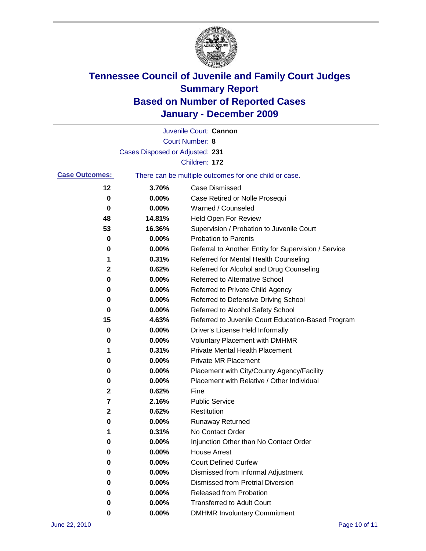

|                       |                                 | Juvenile Court: Cannon                                |
|-----------------------|---------------------------------|-------------------------------------------------------|
|                       |                                 | <b>Court Number: 8</b>                                |
|                       | Cases Disposed or Adjusted: 231 |                                                       |
|                       |                                 | Children: 172                                         |
| <b>Case Outcomes:</b> |                                 | There can be multiple outcomes for one child or case. |
| 12                    | 3.70%                           | <b>Case Dismissed</b>                                 |
| 0                     | 0.00%                           | Case Retired or Nolle Prosequi                        |
| 0                     | 0.00%                           | Warned / Counseled                                    |
| 48                    | 14.81%                          | Held Open For Review                                  |
| 53                    | 16.36%                          | Supervision / Probation to Juvenile Court             |
| 0                     | 0.00%                           | <b>Probation to Parents</b>                           |
| 0                     | 0.00%                           | Referral to Another Entity for Supervision / Service  |
| 1                     | 0.31%                           | Referred for Mental Health Counseling                 |
| 2                     | 0.62%                           | Referred for Alcohol and Drug Counseling              |
| 0                     | 0.00%                           | <b>Referred to Alternative School</b>                 |
| 0                     | 0.00%                           | Referred to Private Child Agency                      |
| 0                     | 0.00%                           | Referred to Defensive Driving School                  |
| 0                     | 0.00%                           | Referred to Alcohol Safety School                     |
| 15                    | 4.63%                           | Referred to Juvenile Court Education-Based Program    |
| 0                     | 0.00%                           | Driver's License Held Informally                      |
| 0                     | 0.00%                           | <b>Voluntary Placement with DMHMR</b>                 |
| 1                     | 0.31%                           | <b>Private Mental Health Placement</b>                |
| 0                     | 0.00%                           | <b>Private MR Placement</b>                           |
| 0                     | 0.00%                           | Placement with City/County Agency/Facility            |
| 0                     | 0.00%                           | Placement with Relative / Other Individual            |
| 2                     | 0.62%                           | Fine                                                  |
| 7                     | 2.16%                           | <b>Public Service</b>                                 |
| 2                     | 0.62%                           | Restitution                                           |
| 0                     | 0.00%                           | <b>Runaway Returned</b>                               |
| 1                     | 0.31%                           | No Contact Order                                      |
| 0                     | 0.00%                           | Injunction Other than No Contact Order                |
| 0                     | 0.00%                           | <b>House Arrest</b>                                   |
| 0                     | 0.00%                           | <b>Court Defined Curfew</b>                           |
| 0                     | 0.00%                           | Dismissed from Informal Adjustment                    |
| 0                     | 0.00%                           | <b>Dismissed from Pretrial Diversion</b>              |
| 0                     | 0.00%                           | Released from Probation                               |
| 0                     | 0.00%                           | <b>Transferred to Adult Court</b>                     |
| 0                     | 0.00%                           | <b>DMHMR Involuntary Commitment</b>                   |